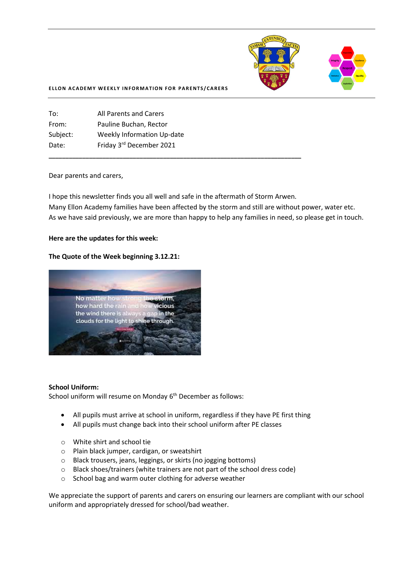

#### **ELLON ACADEMY WEEKLY INFORMATION FOR PARENTS/CARERS**

| All Parents and Carers            |
|-----------------------------------|
| Pauline Buchan, Rector            |
| <b>Weekly Information Up-date</b> |
| Friday 3rd December 2021          |
|                                   |

#### Dear parents and carers,

I hope this newsletter finds you all well and safe in the aftermath of Storm Arwen. Many Ellon Academy families have been affected by the storm and still are without power, water etc. As we have said previously, we are more than happy to help any families in need, so please get in touch.

**\_\_\_\_\_\_\_\_\_\_\_\_\_\_\_\_\_\_\_\_\_\_\_\_\_\_\_\_\_\_\_\_\_\_\_\_\_\_\_\_\_\_\_\_\_\_\_\_\_\_\_\_\_\_\_\_\_\_\_\_\_\_\_\_\_\_\_\_\_\_\_\_\_\_\_**

#### **Here are the updates for this week:**

#### **The Quote of the Week beginning 3.12.21:**



#### **School Uniform:**

School uniform will resume on Monday 6<sup>th</sup> December as follows:

- All pupils must arrive at school in uniform, regardless if they have PE first thing
- All pupils must change back into their school uniform after PE classes
- o White shirt and school tie
- o Plain black jumper, cardigan, or sweatshirt
- o Black trousers, jeans, leggings, or skirts (no jogging bottoms)
- o Black shoes/trainers (white trainers are not part of the school dress code)
- o School bag and warm outer clothing for adverse weather

We appreciate the support of parents and carers on ensuring our learners are compliant with our school uniform and appropriately dressed for school/bad weather.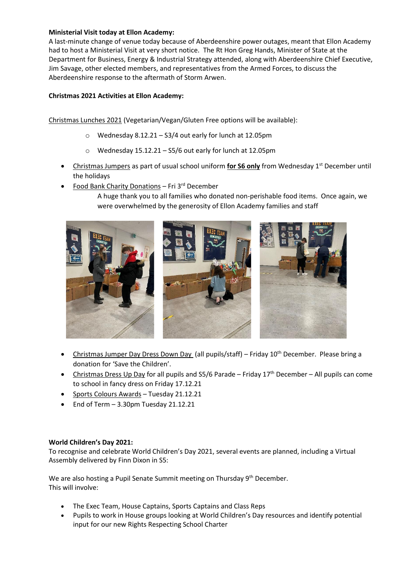## **Ministerial Visit today at Ellon Academy:**

A last-minute change of venue today because of Aberdeenshire power outages, meant that Ellon Academy had to host a Ministerial Visit at very short notice. The Rt Hon Greg Hands, Minister of State at the Department for Business, Energy & Industrial Strategy attended, along with Aberdeenshire Chief Executive, Jim Savage, other elected members, and representatives from the Armed Forces, to discuss the Aberdeenshire response to the aftermath of Storm Arwen.

# **Christmas 2021 Activities at Ellon Academy:**

Christmas Lunches 2021 (Vegetarian/Vegan/Gluten Free options will be available):

- o Wednesday 8.12.21 S3/4 out early for lunch at 12.05pm
- o Wednesday 15.12.21 S5/6 out early for lunch at 12.05pm
- Christmas Jumpers as part of usual school uniform for S6 only from Wednesday 1<sup>st</sup> December until the holidays
- Food Bank Charity Donations Fri 3<sup>rd</sup> December
	- A huge thank you to all families who donated non-perishable food items. Once again, we were overwhelmed by the generosity of Ellon Academy families and staff



- Christmas Jumper Day Dress Down Day (all pupils/staff) Friday 10th December. Please bring a donation for 'Save the Children'.
- Christmas Dress Up Day for all pupils and  $SS/6$  Parade Friday  $17<sup>th</sup>$  December All pupils can come to school in fancy dress on Friday 17.12.21
- Sports Colours Awards Tuesday 21.12.21
- End of Term 3.30pm Tuesday 21.12.21

### **World Children's Day 2021:**

To recognise and celebrate World Children's Day 2021, several events are planned, including a Virtual Assembly delivered by Finn Dixon in S5:

We are also hosting a Pupil Senate Summit meeting on Thursday 9<sup>th</sup> December. This will involve:

- The Exec Team, House Captains, Sports Captains and Class Reps
- Pupils to work in House groups looking at World Children's Day resources and identify potential input for our new Rights Respecting School Charter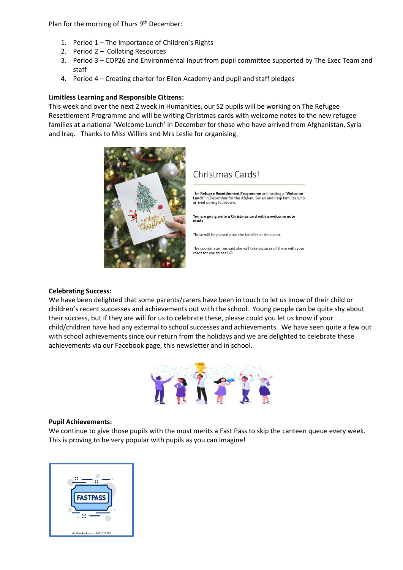Plan for the morning of Thurs 9<sup>th</sup> December:

- 1. Period 1 The Importance of Children's Rights
- 2. Period 2 Collating Resources
- 3. Period 3 COP26 and Environmental Input from pupil committee supported by The Exec Team and staff
- 4. Period 4 Creating charter for Ellon Academy and pupil and staff pledges

### **Limitless Learning and Responsible Citizens:**

This week and over the next 2 week in Humanities, our S2 pupils will be working on The Refugee Resettlement Programme and will be writing Christmas cards with welcome notes to the new refugee families at a national 'Welcome Lunch' in December for those who have arrived from Afghanistan, Syria and Iraq. Thanks to Miss Willins and Mrs Leslie for organising.



# Christmas Cards!

The Refugee Resettlement Programme are hosting a 'Welcome<br>Lunch' in December for the Afghan, Syrian and Iraqi families who arrived during lockdown.

You are going write a Christmas card with a welcome note inside

These will be passed onto the families at the event.

The coordinator has said she will take pictures of them with your cards for you to see!  $\copyright$ 

### **Celebrating Success:**

We have been delighted that some parents/carers have been in touch to let us know of their child or children's recent successes and achievements out with the school. Young people can be quite shy about their success, but if they are will for us to celebrate these, please could you let us know if your child/children have had any external to school successes and achievements. We have seen quite a few out with school achievements since our return from the holidays and we are delighted to celebrate these achievements via our Facebook page, this newsletter and in school.



#### **Pupil Achievements:**

We continue to give those pupils with the most merits a Fast Pass to skip the canteen queue every week. This is proving to be very popular with pupils as you can imagine!

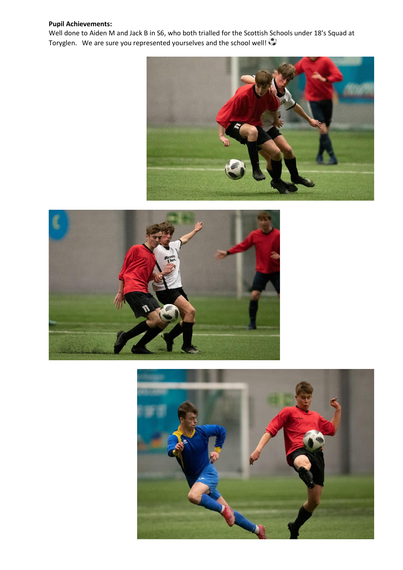# **Pupil Achievements:**

Well done to Aiden M and Jack B in S6, who both trialled for the Scottish Schools under 18's Squad at Toryglen. We are sure you represented yourselves and the school well!





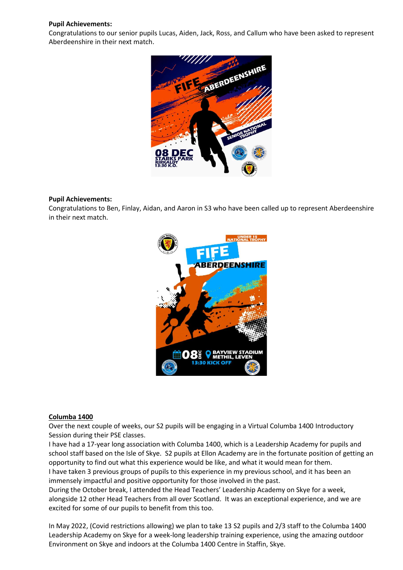### **Pupil Achievements:**

Congratulations to our senior pupils Lucas, Aiden, Jack, Ross, and Callum who have been asked to represent Aberdeenshire in their next match.



### **Pupil Achievements:**

Congratulations to Ben, Finlay, Aidan, and Aaron in S3 who have been called up to represent Aberdeenshire in their next match.



### **Columba 1400**

Over the next couple of weeks, our S2 pupils will be engaging in a Virtual Columba 1400 Introductory Session during their PSE classes.

I have had a 17-year long association with Columba 1400, which is a Leadership Academy for pupils and school staff based on the Isle of Skye. S2 pupils at Ellon Academy are in the fortunate position of getting an opportunity to find out what this experience would be like, and what it would mean for them. I have taken 3 previous groups of pupils to this experience in my previous school, and it has been an

immensely impactful and positive opportunity for those involved in the past.

During the October break, I attended the Head Teachers' Leadership Academy on Skye for a week, alongside 12 other Head Teachers from all over Scotland. It was an exceptional experience, and we are excited for some of our pupils to benefit from this too.

In May 2022, (Covid restrictions allowing) we plan to take 13 S2 pupils and 2/3 staff to the Columba 1400 Leadership Academy on Skye for a week-long leadership training experience, using the amazing outdoor Environment on Skye and indoors at the Columba 1400 Centre in Staffin, Skye.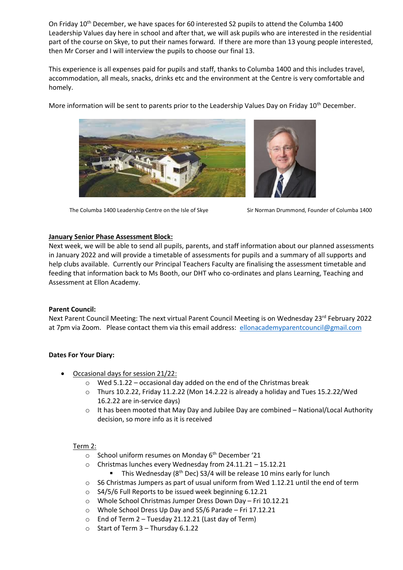On Friday 10<sup>th</sup> December, we have spaces for 60 interested S2 pupils to attend the Columba 1400 Leadership Values day here in school and after that, we will ask pupils who are interested in the residential part of the course on Skye, to put their names forward. If there are more than 13 young people interested, then Mr Corser and I will interview the pupils to choose our final 13.

This experience is all expenses paid for pupils and staff, thanks to Columba 1400 and this includes travel, accommodation, all meals, snacks, drinks etc and the environment at the Centre is very comfortable and homely.

More information will be sent to parents prior to the Leadership Values Day on Friday 10<sup>th</sup> December.



The Columba 1400 Leadership Centre on the Isle of Skye Sir Norman Drummond, Founder of Columba 1400



### **January Senior Phase Assessment Block:**

Next week, we will be able to send all pupils, parents, and staff information about our planned assessments in January 2022 and will provide a timetable of assessments for pupils and a summary of all supports and help clubs available. Currently our Principal Teachers Faculty are finalising the assessment timetable and feeding that information back to Ms Booth, our DHT who co-ordinates and plans Learning, Teaching and Assessment at Ellon Academy.

# **Parent Council:**

Next Parent Council Meeting: The next virtual Parent Council Meeting is on Wednesday 23<sup>rd</sup> February 2022 at 7pm via Zoom. Please contact them via this email address: [ellonacademyparentcouncil@gmail.com](mailto:ellonacademyparentcouncil@gmail.com)

# **Dates For Your Diary:**

- Occasional days for session 21/22:
	- o Wed 5.1.22 occasional day added on the end of the Christmas break
	- o Thurs 10.2.22, Friday 11.2.22 (Mon 14.2.22 is already a holiday and Tues 15.2.22/Wed 16.2.22 are in-service days)
	- $\circ$  It has been mooted that May Day and Jubilee Day are combined National/Local Authority decision, so more info as it is received

# Term 2:

- School uniform resumes on Monday 6<sup>th</sup> December '21
- o Christmas lunches every Wednesday from 24.11.21 15.12.21
	- **■** This Wednesday ( $8<sup>th</sup>$  Dec) S3/4 will be release 10 mins early for lunch
- o S6 Christmas Jumpers as part of usual uniform from Wed 1.12.21 until the end of term
- o S4/5/6 Full Reports to be issued week beginning 6.12.21
- o Whole School Christmas Jumper Dress Down Day Fri 10.12.21
- o Whole School Dress Up Day and S5/6 Parade Fri 17.12.21
- o End of Term 2 Tuesday 21.12.21 (Last day of Term)
- o Start of Term 3 Thursday 6.1.22